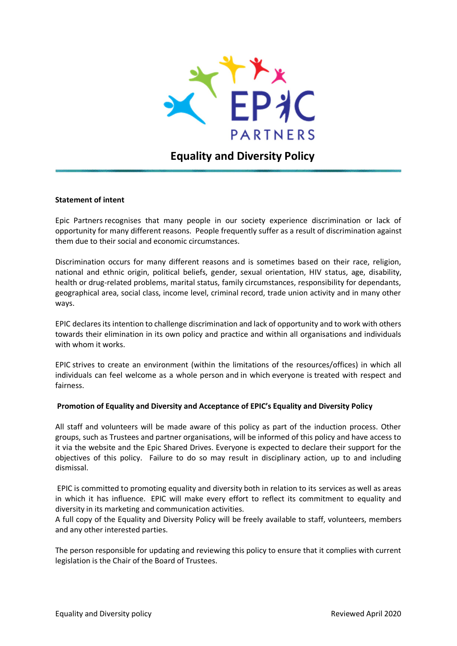

# **Equality and Diversity Policy**

## **Statement of intent**

Epic Partners recognises that many people in our society experience discrimination or lack of opportunity for many different reasons. People frequently suffer as a result of discrimination against them due to their social and economic circumstances.

Discrimination occurs for many different reasons and is sometimes based on their race, religion, national and ethnic origin, political beliefs, gender, sexual orientation, HIV status, age, disability, health or drug-related problems, marital status, family circumstances, responsibility for dependants, geographical area, social class, income level, criminal record, trade union activity and in many other ways.

EPIC declares its intention to challenge discrimination and lack of opportunity and to work with others towards their elimination in its own policy and practice and within all organisations and individuals with whom it works.

EPIC strives to create an environment (within the limitations of the resources/offices) in which all individuals can feel welcome as a whole person and in which everyone is treated with respect and fairness.

# **Promotion of Equality and Diversity and Acceptance of EPIC's Equality and Diversity Policy**

All staff and volunteers will be made aware of this policy as part of the induction process. Other groups, such as Trustees and partner organisations, will be informed of this policy and have access to it via the website and the Epic Shared Drives. Everyone is expected to declare their support for the objectives of this policy. Failure to do so may result in disciplinary action, up to and including dismissal.

EPIC is committed to promoting equality and diversity both in relation to its services as well as areas in which it has influence. EPIC will make every effort to reflect its commitment to equality and diversity in its marketing and communication activities.

A full copy of the Equality and Diversity Policy will be freely available to staff, volunteers, members and any other interested parties.

The person responsible for updating and reviewing this policy to ensure that it complies with current legislation is the Chair of the Board of Trustees.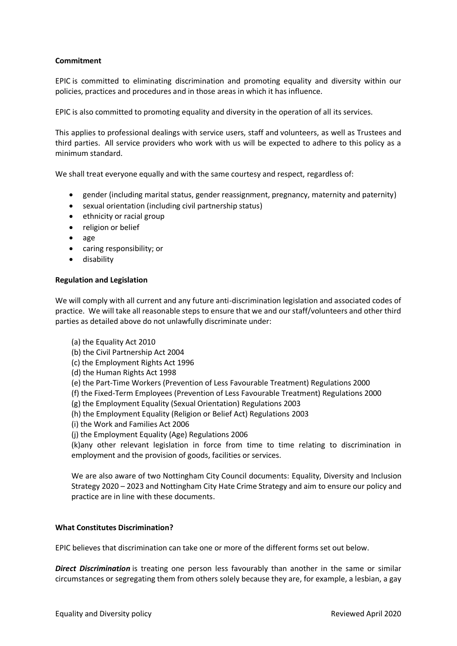# **Commitment**

EPIC is committed to eliminating discrimination and promoting equality and diversity within our policies, practices and procedures and in those areas in which it has influence.

EPIC is also committed to promoting equality and diversity in the operation of all its services.

This applies to professional dealings with service users, staff and volunteers, as well as Trustees and third parties. All service providers who work with us will be expected to adhere to this policy as a minimum standard.

We shall treat everyone equally and with the same courtesy and respect, regardless of:

- gender (including marital status, gender reassignment, pregnancy, maternity and paternity)
- sexual orientation (including civil partnership status)
- ethnicity or racial group
- religion or belief
- age
- caring responsibility; or
- **•** disability

# **Regulation and Legislation**

We will comply with all current and any future anti-discrimination legislation and associated codes of practice. We will take all reasonable steps to ensure that we and our staff/volunteers and other third parties as detailed above do not unlawfully discriminate under:

- (a) the Equality Act 2010
- (b) the Civil Partnership Act 2004
- (c) the Employment Rights Act 1996
- (d) the Human Rights Act 1998
- (e) the Part-Time Workers (Prevention of Less Favourable Treatment) Regulations 2000
- (f) the Fixed-Term Employees (Prevention of Less Favourable Treatment) Regulations 2000
- (g) the Employment Equality (Sexual Orientation) Regulations 2003
- (h) the Employment Equality (Religion or Belief Act) Regulations 2003
- (i) the Work and Families Act 2006
- (j) the Employment Equality (Age) Regulations 2006

(k)any other relevant legislation in force from time to time relating to discrimination in employment and the provision of goods, facilities or services.

We are also aware of two Nottingham City Council documents: Equality, Diversity and Inclusion Strategy 2020 – 2023 and Nottingham City Hate Crime Strategy and aim to ensure our policy and practice are in line with these documents.

# **What Constitutes Discrimination?**

EPIC believes that discrimination can take one or more of the different forms set out below.

*Direct Discrimination* is treating one person less favourably than another in the same or similar circumstances or segregating them from others solely because they are, for example, a lesbian, a gay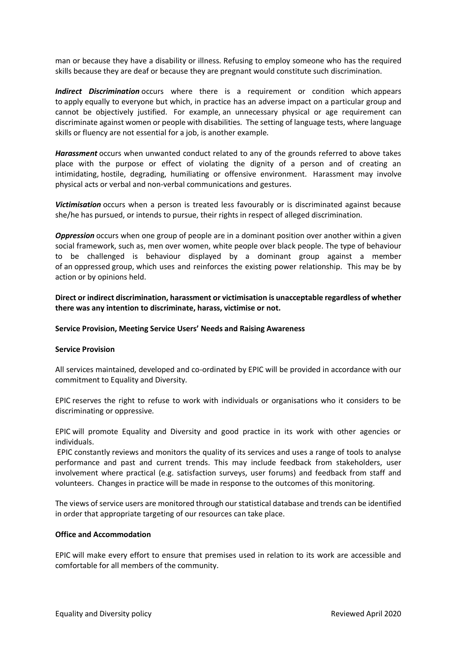man or because they have a disability or illness. Refusing to employ someone who has the required skills because they are deaf or because they are pregnant would constitute such discrimination.

*Indirect Discrimination* occurs where there is a requirement or condition which appears to apply equally to everyone but which, in practice has an adverse impact on a particular group and cannot be objectively justified. For example, an unnecessary physical or age requirement can discriminate against women or people with disabilities. The setting of language tests, where language skills or fluency are not essential for a job, is another example.

*Harassment* occurs when unwanted conduct related to any of the grounds referred to above takes place with the purpose or effect of violating the dignity of a person and of creating an intimidating, hostile, degrading, humiliating or offensive environment. Harassment may involve physical acts or verbal and non-verbal communications and gestures.

Victimisation occurs when a person is treated less favourably or is discriminated against because she/he has pursued, or intends to pursue, their rights in respect of alleged discrimination.

*Oppression* occurs when one group of people are in a dominant position over another within a given social framework, such as, men over women, white people over black people. The type of behaviour to be challenged is behaviour displayed by a dominant group against a member of an oppressed group, which uses and reinforces the existing power relationship. This may be by action or by opinions held.

**Direct or indirect discrimination, harassment or victimisation is unacceptable regardless of whether there was any intention to discriminate, harass, victimise or not.**

#### **Service Provision, Meeting Service Users' Needs and Raising Awareness**

#### **Service Provision**

All services maintained, developed and co-ordinated by EPIC will be provided in accordance with our commitment to Equality and Diversity.

EPIC reserves the right to refuse to work with individuals or organisations who it considers to be discriminating or oppressive.

EPIC will promote Equality and Diversity and good practice in its work with other agencies or individuals.

EPIC constantly reviews and monitors the quality of its services and uses a range of tools to analyse performance and past and current trends. This may include feedback from stakeholders, user involvement where practical (e.g. satisfaction surveys, user forums) and feedback from staff and volunteers. Changes in practice will be made in response to the outcomes of this monitoring.

The views of service users are monitored through our statistical database and trends can be identified in order that appropriate targeting of our resources can take place.

## **Office and Accommodation**

EPIC will make every effort to ensure that premises used in relation to its work are accessible and comfortable for all members of the community.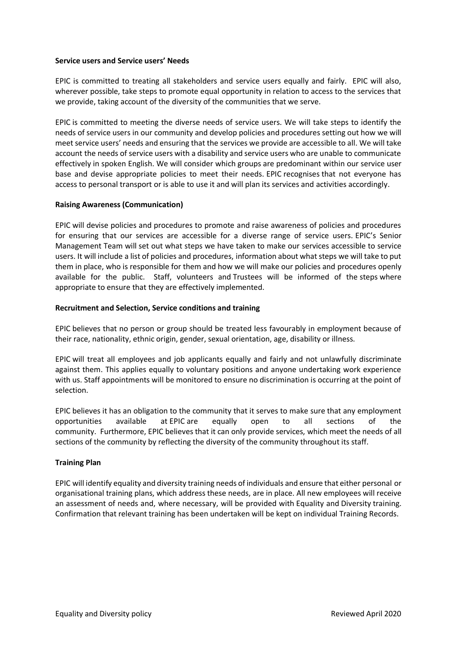## **Service users and Service users' Needs**

EPIC is committed to treating all stakeholders and service users equally and fairly. EPIC will also, wherever possible, take steps to promote equal opportunity in relation to access to the services that we provide, taking account of the diversity of the communities that we serve.

EPIC is committed to meeting the diverse needs of service users. We will take steps to identify the needs of service users in our community and develop policies and procedures setting out how we will meet service users' needs and ensuring that the services we provide are accessible to all. We will take account the needs of service users with a disability and service users who are unable to communicate effectively in spoken English. We will consider which groups are predominant within our service user base and devise appropriate policies to meet their needs. EPIC recognises that not everyone has access to personal transport or is able to use it and will plan its services and activities accordingly.

# **Raising Awareness (Communication)**

EPIC will devise policies and procedures to promote and raise awareness of policies and procedures for ensuring that our services are accessible for a diverse range of service users. EPIC's Senior Management Team will set out what steps we have taken to make our services accessible to service users. It will include a list of policies and procedures, information about what steps we will take to put them in place, who is responsible for them and how we will make our policies and procedures openly available for the public. Staff, volunteers and Trustees will be informed of the steps where appropriate to ensure that they are effectively implemented.

# **Recruitment and Selection, Service conditions and training**

EPIC believes that no person or group should be treated less favourably in employment because of their race, nationality, ethnic origin, gender, sexual orientation, age, disability or illness.

EPIC will treat all employees and job applicants equally and fairly and not unlawfully discriminate against them. This applies equally to voluntary positions and anyone undertaking work experience with us. Staff appointments will be monitored to ensure no discrimination is occurring at the point of selection.

EPIC believes it has an obligation to the community that it serves to make sure that any employment opportunities available at EPIC are equally open to all sections of the community. Furthermore, EPIC believes that it can only provide services, which meet the needs of all sections of the community by reflecting the diversity of the community throughout its staff.

# **Training Plan**

EPIC will identify equality and diversity training needs of individuals and ensure that either personal or organisational training plans, which address these needs, are in place. All new employees will receive an assessment of needs and, where necessary, will be provided with Equality and Diversity training. Confirmation that relevant training has been undertaken will be kept on individual Training Records.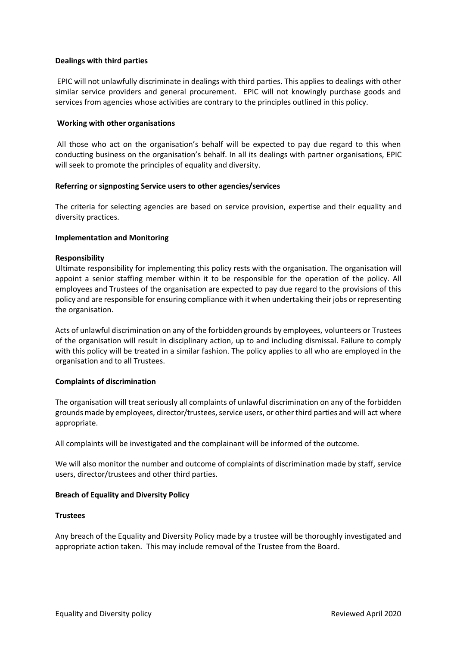# **Dealings with third parties**

EPIC will not unlawfully discriminate in dealings with third parties. This applies to dealings with other similar service providers and general procurement. EPIC will not knowingly purchase goods and services from agencies whose activities are contrary to the principles outlined in this policy.

## **Working with other organisations**

All those who act on the organisation's behalf will be expected to pay due regard to this when conducting business on the organisation's behalf. In all its dealings with partner organisations, EPIC will seek to promote the principles of equality and diversity.

## **Referring or signposting Service users to other agencies/services**

The criteria for selecting agencies are based on service provision, expertise and their equality and diversity practices.

## **Implementation and Monitoring**

## **Responsibility**

Ultimate responsibility for implementing this policy rests with the organisation. The organisation will appoint a senior staffing member within it to be responsible for the operation of the policy. All employees and Trustees of the organisation are expected to pay due regard to the provisions of this policy and are responsible for ensuring compliance with it when undertaking their jobs or representing the organisation.

Acts of unlawful discrimination on any of the forbidden grounds by employees, volunteers or Trustees of the organisation will result in disciplinary action, up to and including dismissal. Failure to comply with this policy will be treated in a similar fashion. The policy applies to all who are employed in the organisation and to all Trustees.

# **Complaints of discrimination**

The organisation will treat seriously all complaints of unlawful discrimination on any of the forbidden grounds made by employees, director/trustees, service users, or other third parties and will act where appropriate.

All complaints will be investigated and the complainant will be informed of the outcome.

We will also monitor the number and outcome of complaints of discrimination made by staff, service users, director/trustees and other third parties.

# **Breach of Equality and Diversity Policy**

#### **Trustees**

Any breach of the Equality and Diversity Policy made by a trustee will be thoroughly investigated and appropriate action taken. This may include removal of the Trustee from the Board.